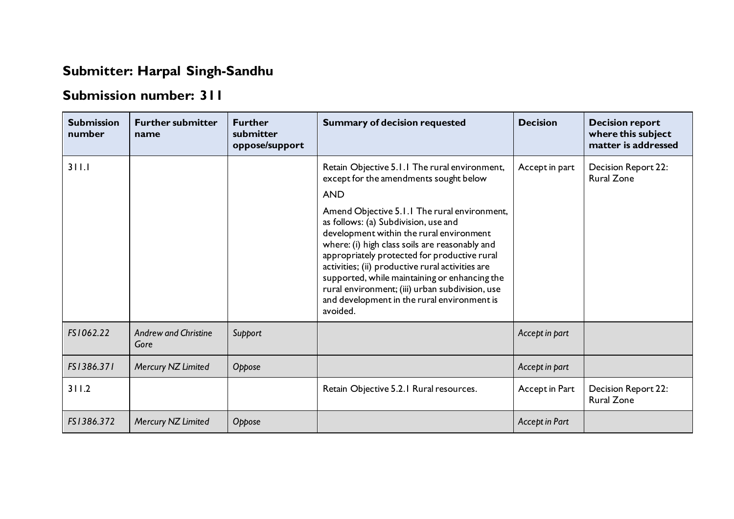## **Submitter: Harpal Singh-Sandhu**

## **Submission number: 311**

| <b>Submission</b><br>number | <b>Further submitter</b><br>name    | <b>Further</b><br>submitter<br>oppose/support | <b>Summary of decision requested</b>                                                                                                                                                                                                                                                                                                                                                                                                                  | <b>Decision</b> | <b>Decision report</b><br>where this subject<br>matter is addressed |
|-----------------------------|-------------------------------------|-----------------------------------------------|-------------------------------------------------------------------------------------------------------------------------------------------------------------------------------------------------------------------------------------------------------------------------------------------------------------------------------------------------------------------------------------------------------------------------------------------------------|-----------------|---------------------------------------------------------------------|
| 311.1                       |                                     |                                               | Retain Objective 5.1.1 The rural environment,<br>except for the amendments sought below<br><b>AND</b>                                                                                                                                                                                                                                                                                                                                                 | Accept in part  | Decision Report 22:<br><b>Rural Zone</b>                            |
|                             |                                     |                                               | Amend Objective 5.1.1 The rural environment,<br>as follows: (a) Subdivision, use and<br>development within the rural environment<br>where: (i) high class soils are reasonably and<br>appropriately protected for productive rural<br>activities; (ii) productive rural activities are<br>supported, while maintaining or enhancing the<br>rural environment; (iii) urban subdivision, use<br>and development in the rural environment is<br>avoided. |                 |                                                                     |
| FS1062.22                   | <b>Andrew and Christine</b><br>Gore | Support                                       |                                                                                                                                                                                                                                                                                                                                                                                                                                                       | Accept in part  |                                                                     |
| FS1386.371                  | Mercury NZ Limited                  | Oppose                                        |                                                                                                                                                                                                                                                                                                                                                                                                                                                       | Accept in part  |                                                                     |
| 311.2                       |                                     |                                               | Retain Objective 5.2.1 Rural resources.                                                                                                                                                                                                                                                                                                                                                                                                               | Accept in Part  | Decision Report 22:<br><b>Rural Zone</b>                            |
| FS1386.372                  | Mercury NZ Limited                  | Oppose                                        |                                                                                                                                                                                                                                                                                                                                                                                                                                                       | Accept in Part  |                                                                     |